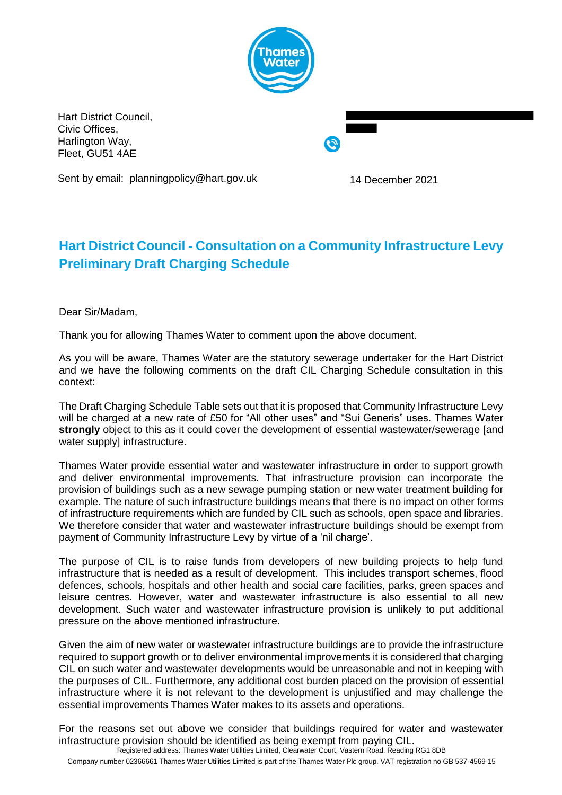

Hart District Council, Civic Offices, Harlington Way, Fleet, GU51 4AE

Sent by email: planningpolicy@hart.gov.uk 14 December 2021

## **Hart District Council - Consultation on a Community Infrastructure Levy Preliminary Draft Charging Schedule**

Dear Sir/Madam,

Thank you for allowing Thames Water to comment upon the above document.

As you will be aware, Thames Water are the statutory sewerage undertaker for the Hart District and we have the following comments on the draft CIL Charging Schedule consultation in this context:

The Draft Charging Schedule Table sets out that it is proposed that Community Infrastructure Levy will be charged at a new rate of £50 for "All other uses" and "Sui Generis" uses. Thames Water **strongly** object to this as it could cover the development of essential wastewater/sewerage [and water supply] infrastructure.

Thames Water provide essential water and wastewater infrastructure in order to support growth and deliver environmental improvements. That infrastructure provision can incorporate the provision of buildings such as a new sewage pumping station or new water treatment building for example. The nature of such infrastructure buildings means that there is no impact on other forms of infrastructure requirements which are funded by CIL such as schools, open space and libraries. We therefore consider that water and wastewater infrastructure buildings should be exempt from payment of Community Infrastructure Levy by virtue of a 'nil charge'.

The purpose of CIL is to raise funds from developers of new building projects to help fund infrastructure that is needed as a result of development. This includes transport schemes, flood defences, schools, hospitals and other health and social care facilities, parks, green spaces and leisure centres. However, water and wastewater infrastructure is also essential to all new development. Such water and wastewater infrastructure provision is unlikely to put additional pressure on the above mentioned infrastructure.

Given the aim of new water or wastewater infrastructure buildings are to provide the infrastructure required to support growth or to deliver environmental improvements it is considered that charging CIL on such water and wastewater developments would be unreasonable and not in keeping with the purposes of CIL. Furthermore, any additional cost burden placed on the provision of essential infrastructure where it is not relevant to the development is unjustified and may challenge the essential improvements Thames Water makes to its assets and operations.

Registered address: Thames Water Utilities Limited, Clearwater Court, Vastern Road, Reading RG1 8DB For the reasons set out above we consider that buildings required for water and wastewater infrastructure provision should be identified as being exempt from paying CIL.